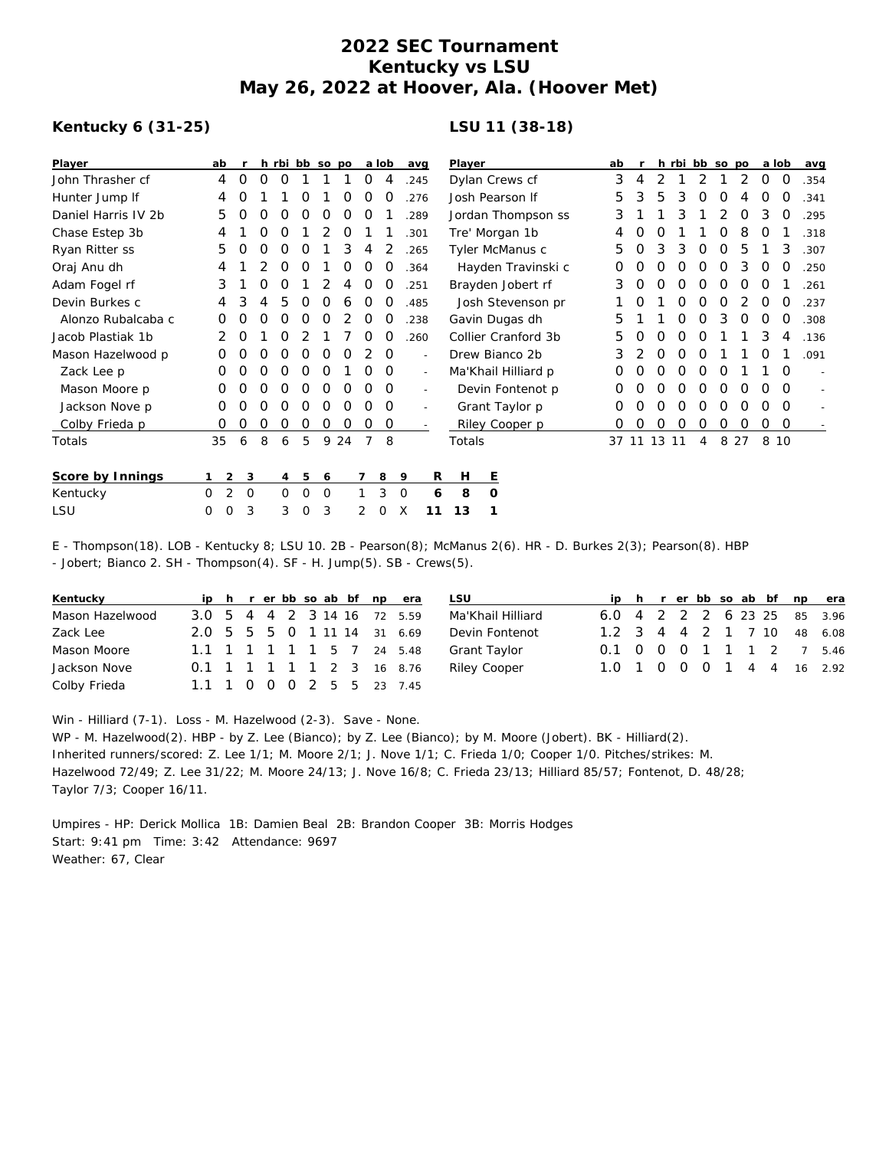## **2022 SEC Tournament Kentucky vs LSU May 26, 2022 at Hoover, Ala. (Hoover Met)**

## **Kentucky 6 (31-25)**

## **LSU 11 (38-18)**

| Player              | ab            |                     |                  |   |   | h rbi bb so po |    |   | a lob    | avg                      |          | Player              | ab |             |            |          | h rbi bb so po |          |          | a lob    |          | avg  |
|---------------------|---------------|---------------------|------------------|---|---|----------------|----|---|----------|--------------------------|----------|---------------------|----|-------------|------------|----------|----------------|----------|----------|----------|----------|------|
| John Thrasher cf    | 4             | $\Omega$            | ∩                | O |   |                |    | 0 | 4        | .245                     |          | Dylan Crews cf      | 3  |             |            |          |                |          | 2        | 0        | $\Omega$ | .354 |
| Hunter Jump If      | 4             |                     |                  |   |   |                |    | Ο | O        | .276                     |          | Josh Pearson If     | 5  | 3           | 5          | 3        | O              | O        |          | O        | O        | .341 |
| Daniel Harris IV 2b | 5             | O                   | O                | O | O | Ο              | O  | O |          | .289                     |          | Jordan Thompson ss  | 3  |             |            | 3        |                | 2        | 0        | 3        | 0        | .295 |
| Chase Estep 3b      | 4             |                     |                  | O |   |                | O  |   |          | .301                     |          | Tre' Morgan 1b      |    | O           | $\left($ ) |          |                | O        | 8        | O        |          | .318 |
| Ryan Ritter ss      | 5             |                     | O                | O | O |                | 3  | 4 |          | .265                     |          | Tyler McManus c     | 5  | O           | 3          | 3        | O              | 0        | 5        |          | 3        | .307 |
| Oraj Anu dh         | 4             |                     |                  | O | O |                | Ο  | O |          | .364                     |          | Hayden Travinski c  | O  | Ο           | O          | 0        | Ο              | O        | 3        | 0        | O        | .250 |
| Adam Fogel rf       | 3             |                     |                  | Ο |   |                |    | O | O        | .251                     |          | Brayden Jobert rf   | З  | O           | O          | O        | O              | O        | O        | O        |          | .261 |
| Devin Burkes c      | 4             | 3                   |                  | 5 | O | Ο              | 6  | 0 | O        | .485                     |          | Josh Stevenson pr   |    | Ο           |            | 0        | 0              | $\Omega$ |          | $\Omega$ | 0        | .237 |
| Alonzo Rubalcaba c  | Ο             |                     |                  | Ο | Ω | O              |    | O | 0        | .238                     |          | Gavin Dugas dh      | 5  |             |            | 0        | O              | 3        | O        | O        | 0        | .308 |
| Jacob Plastiak 1b   | 2             | O                   |                  | Ω |   |                |    | Ο | O        | .260                     |          | Collier Cranford 3b | 5  | Ο           | 0          | 0        | O              |          |          | 3        | 4        | .136 |
| Mason Hazelwood p   | 0             |                     |                  |   | Ω | Ω              | ი  |   | $\Omega$ | $\overline{\phantom{a}}$ |          | Drew Bianco 2b      | 3  |             | O          | O        | Ω              |          |          | O        |          | .091 |
| Zack Lee p          | O             |                     | Ω                | Ο | Ο | O              |    |   | $\Omega$ | $\overline{\phantom{a}}$ |          | Ma'Khail Hilliard p | O  |             | O          | O        | Ο              | O        |          |          | $\Omega$ |      |
| Mason Moore p       | 0             | O                   | O                | 0 | O | 0              | 0  | 0 | $\Omega$ | $\overline{\phantom{a}}$ |          | Devin Fontenot p    | 0  | O           | 0          | $\Omega$ | $\Omega$       | $\Omega$ | $\Omega$ | 0        | $\Omega$ |      |
| Jackson Nove p      | O             |                     | $\left( \right)$ | Ο | Ο | O              | O  | O | 0        |                          |          | Grant Taylor p      | 0  | O           | O          | O        | O              | O        | O        | O        | $\Omega$ |      |
| Colby Frieda p      | 0             | $\Omega$            | 0                | 0 | 0 | 0              | 0  | 0 | 0        |                          |          | Riley Cooper p      | 0  | $\Omega$    | 0          | 0        | 0              | $\circ$  | $\circ$  | $\circ$  | $\circ$  |      |
| Totals              | 35            | 6                   | 8                | 6 | 5 | 9              | 24 |   | 8        |                          |          | Totals              |    | 37 11 13 11 |            |          | 4              |          | 8 2 7    | 8 10     |          |      |
| Score by Innings    |               | $\overline{2}$<br>3 |                  | 4 | 5 | 6              |    |   | 8        | 9                        | R        | Ε<br>H              |    |             |            |          |                |          |          |          |          |      |
| Kentucky            | 2<br>$\Omega$ | $\mathbf 0$         |                  | 0 | 0 | 0              |    |   | 3        | 0                        | 6        | 8<br>0              |    |             |            |          |                |          |          |          |          |      |
| LSU                 | 0<br>0        | 3                   |                  | 3 | 0 | 3              |    | 2 | 0        | X                        | 13<br>11 |                     |    |             |            |          |                |          |          |          |          |      |

E - Thompson(18). LOB - Kentucky 8; LSU 10. 2B - Pearson(8); McManus 2(6). HR - D. Burkes 2(3); Pearson(8). HBP - Jobert; Bianco 2. SH - Thompson(4). SF - H. Jump(5). SB - Crews(5).

| Kentucky        |                             |  |  |  | ip h r er bb so ab bf np era |  |
|-----------------|-----------------------------|--|--|--|------------------------------|--|
| Mason Hazelwood | 3.0 5 4 4 2 3 14 16 72 5.59 |  |  |  |                              |  |
| Zack Lee        | 2.0 5 5 5 0 1 11 14 31 6.69 |  |  |  |                              |  |
| Mason Moore     | 1.1 1 1 1 1 1 5 7 24 5.48   |  |  |  |                              |  |
| Jackson Nove    | 0.1 1 1 1 1 1 2 3 16 8.76   |  |  |  |                              |  |
| Colby Frieda    | 1.1 1 0 0 0 2 5 5 23 7.45   |  |  |  |                              |  |

| <b>LSU</b>          |  |  |  |  | ip h r er bb so ab bf np era |
|---------------------|--|--|--|--|------------------------------|
| Ma'Khail Hilliard   |  |  |  |  | 6.0 4 2 2 2 6 23 25 85 3.96  |
| Devin Fontenot      |  |  |  |  | 1.2 3 4 4 2 1 7 10 48 6.08   |
| Grant Taylor        |  |  |  |  | 0.1 0 0 0 1 1 1 2 7 5.46     |
| <b>Riley Cooper</b> |  |  |  |  | 1.0 1 0 0 0 1 4 4 16 2.92    |

Win - Hilliard (7-1). Loss - M. Hazelwood (2-3). Save - None.

WP - M. Hazelwood(2). HBP - by Z. Lee (Bianco); by Z. Lee (Bianco); by M. Moore (Jobert). BK - Hilliard(2). Inherited runners/scored: Z. Lee 1/1; M. Moore 2/1; J. Nove 1/1; C. Frieda 1/0; Cooper 1/0. Pitches/strikes: M. Hazelwood 72/49; Z. Lee 31/22; M. Moore 24/13; J. Nove 16/8; C. Frieda 23/13; Hilliard 85/57; Fontenot, D. 48/28; Taylor 7/3; Cooper 16/11.

Umpires - HP: Derick Mollica 1B: Damien Beal 2B: Brandon Cooper 3B: Morris Hodges Start: 9:41 pm Time: 3:42 Attendance: 9697 Weather: 67, Clear